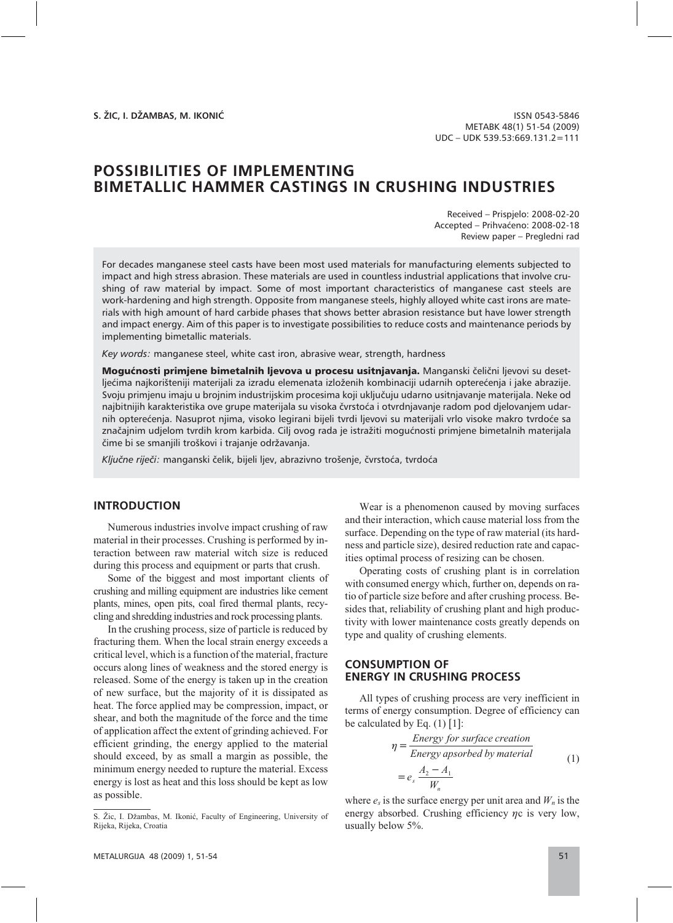### POSSIBILITIES OF IMPLEMENTING **BIMETALLIC HAMMER CASTINGS IN CRUSHING INDUSTRIES BIMETALLIC HAMMER CASTINGS IN CRUSHING INDUSTRIES**

Received – Prispjelo: 2008-02-20 Accepted – Prihvaćeno: 2008-02-18 Review paper – Pregledni rad

For decades manganese steel casts have been most used materials for manufacturing elements subjected to impact and high stress abrasion. These materials are used in countless industrial applications that involve crushing of raw material by impact. Some of most important characteristics of manganese cast steels are work-hardening and high strength. Opposite from manganese steels, highly alloyed white cast irons are materials with high amount of hard carbide phases that shows better abrasion resistance but have lower strength and impact energy. Aim of this paper is to investigate possibilities to reduce costs and maintenance periods by implementing bimetallic materials.

*Key words:* manganese steel, white cast iron, abrasive wear, strength, hardness

Mogućnosti primjene bimetalnih ljevova u procesu usitnjavanja. Manganski čelični ljevovi su desetljećima najkorišteniji materijali za izradu elemenata izloženih kombinaciji udarnih opterećenja i jake abrazije. Svoju primjenu imaju u brojnim industrijskim procesima koji uključuju udarno usitnjavanje materijala. Neke od najbitnijih karakteristika ove grupe materijala su visoka čvrstoća i otvrdnjavanje radom pod djelovanjem udarnih opterećenja. Nasuprot njima, visoko legirani bijeli tvrdi ljevovi su materijali vrlo visoke makro tvrdoće sa značajnim udjelom tvrdih krom karbida. Cilj ovog rada je istražiti mogućnosti primjene bimetalnih materijala čime bi se smanjili troškovi i trajanje održavanja.

Ključne riječi: manganski čelik, bijeli ljev, abrazivno trošenje, čvrstoća, tvrdoća

### **INTRODUCTION**

Numerous industries involve impact crushing of raw material in their processes. Crushing is performed by interaction between raw material witch size is reduced during this process and equipment or parts that crush.

Some of the biggest and most important clients of crushing and milling equipment are industries like cement plants, mines, open pits, coal fired thermal plants, recycling and shredding industries and rock processing plants.

In the crushing process, size of particle is reduced by fracturing them. When the local strain energy exceeds a critical level, which is a function of the material, fracture occurs along lines of weakness and the stored energy is released. Some of the energy is taken up in the creation of new surface, but the majority of it is dissipated as heat. The force applied may be compression, impact, or shear, and both the magnitude of the force and the time of application affect the extent of grinding achieved. For efficient grinding, the energy applied to the material should exceed, by as small a margin as possible, the minimum energy needed to rupture the material. Excess energy is lost as heat and this loss should be kept as low as possible.

Wear is a phenomenon caused by moving surfaces and their interaction, which cause material loss from the surface. Depending on the type of raw material (its hardness and particle size), desired reduction rate and capacities optimal process of resizing can be chosen.

Operating costs of crushing plant is in correlation with consumed energy which, further on, depends on ratio of particle size before and after crushing process. Besides that, reliability of crushing plant and high productivity with lower maintenance costs greatly depends on type and quality of crushing elements.

#### **CONSUMPTION OF ENERGY IN CRUSHING PROCESS ENERGY IN CRUSHING PROCESS**

All types of crushing process are very inefficient in terms of energy consumption. Degree of efficiency can be calculated by Eq.  $(1)$  [1]:

$$
\eta = \frac{Energy \, for \, surface \, creation}{Energy \, apsorbed \, by \, material}
$$
\n
$$
= e_s \frac{A_2 - A_1}{W_n}
$$
\n(1)

where  $e_s$  is the surface energy per unit area and  $W_n$  is the energy absorbed. Crushing efficiency  $\eta c$  is very low, usually below 5%.

S. Žic, I. Džambas, M. Ikonić, Faculty of Engineering, University of Rijeka, Rijeka, Croatia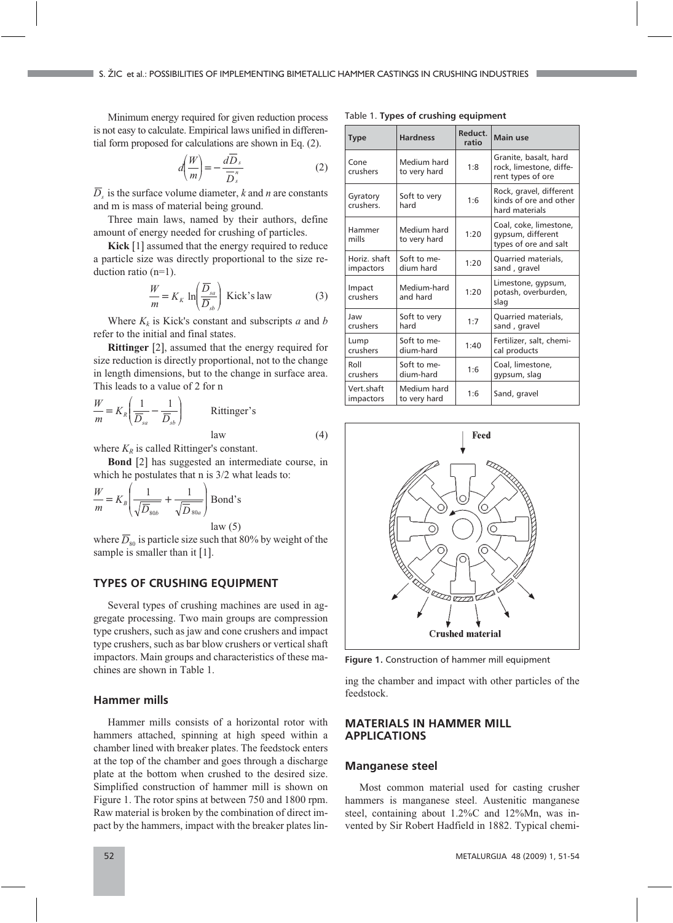Minimum energy required for given reduction process is not easy to calculate. Empirical laws unified in differential form proposed for calculations are shown in Eq. (2).

$$
d\left(\frac{W}{m}\right) = -\frac{d\overline{D}_s}{\overline{D}_s^n} \tag{2}
$$

 $\overline{D}_s$  is the surface volume diameter, *k* and *n* are constants and m is mass of material being ground.

Three main laws, named by their authors, define amount of energy needed for crushing of particles.

**Kick** [1] assumed that the energy required to reduce a particle size was directly proportional to the size reduction ratio (n=1).

$$
\frac{W}{m} = K_K \ln \left( \frac{\overline{D}_{sa}}{\overline{D}_{sb}} \right) \text{Kick's law}
$$
 (3)

Where  $K_k$  is Kick's constant and subscripts *a* and *b* refer to the initial and final states.

**Rittinger** [2], assumed that the energy required for size reduction is directly proportional, not to the change in length dimensions, but to the change in surface area. This leads to a value of 2 for n

$$
\frac{W}{m} = K_R \left( \frac{1}{\overline{D}_{sa}} - \frac{1}{\overline{D}_{sb}} \right)
$$
 Rittinger's  
law (4)

where  $K_R$  is called Rittinger's constant.

**Bond** [2] has suggested an intermediate course, in which he postulates that n is  $3/2$  what leads to:

$$
\frac{W}{m} = K_B \left( \frac{1}{\sqrt{\overline{D}_{80b}}} + \frac{1}{\sqrt{\overline{D}_{80a}}} \right)
$$
Bond's law (5)

where  $\overline{D}_{80}$  is particle size such that 80% by weight of the sample is smaller than it  $[1]$ .

# **TYPES OF CRUSHING EQUIPMENT**

Several types of crushing machines are used in aggregate processing. Two main groups are compression type crushers, such as jaw and cone crushers and impact type crushers, such as bar blow crushers or vertical shaft impactors. Main groups and characteristics of these machines are shown in Table 1.

#### **Hammer mills Hammer mills**

Hammer mills consists of a horizontal rotor with hammers attached, spinning at high speed within a chamber lined with breaker plates. The feedstock enters at the top of the chamber and goes through a discharge plate at the bottom when crushed to the desired size. Simplified construction of hammer mill is shown on Figure 1. The rotor spins at between 750 and 1800 rpm. Raw material is broken by the combination of direct impact by the hammers, impact with the breaker plates lin-

|  |  |  |  |  |  |  | Table 1. Types of crushing equipment |
|--|--|--|--|--|--|--|--------------------------------------|
|--|--|--|--|--|--|--|--------------------------------------|

|                  | <b>Type</b>               | <b>Hardness</b>             |      | <b>Main use</b>                                                       |  |  |
|------------------|---------------------------|-----------------------------|------|-----------------------------------------------------------------------|--|--|
| Cone<br>crushers |                           | Medium hard<br>to very hard | 1:8  | Granite, basalt, hard<br>rock, limestone, diffe-<br>rent types of ore |  |  |
|                  | Gyratory<br>crushers.     | Soft to very<br>hard        | 1:6  | Rock, gravel, different<br>kinds of ore and other<br>hard materials   |  |  |
|                  | Hammer<br>mills           | Medium hard<br>to very hard | 1:20 | Coal, coke, limestone,<br>gypsum, different<br>types of ore and salt  |  |  |
|                  | Horiz, shaft<br>impactors | Soft to me-<br>dium hard    | 1:20 | Quarried materials,<br>sand, gravel                                   |  |  |
|                  | Impact<br>crushers        | Medium-hard<br>and hard     | 1:20 | Limestone, gypsum,<br>potash, overburden,<br>slag                     |  |  |
|                  | Jaw<br>crushers           | Soft to very<br>hard        | 1:7  | Quarried materials,<br>sand, gravel                                   |  |  |
|                  | Lump<br>crushers          | Soft to me-<br>dium-hard    | 1:40 | Fertilizer, salt, chemi-<br>cal products                              |  |  |
| Roll<br>crushers |                           | Soft to me-<br>dium-hard    | 1:6  | Coal, limestone,<br>gypsum, slag                                      |  |  |
|                  | Vert.shaft<br>impactors   | Medium hard<br>to very hard | 1:6  | Sand, gravel                                                          |  |  |



**Figure 1.** Construction of hammer mill equipment

ing the chamber and impact with other particles of the feedstock.

### **MATERIALS IN HAMMER MILL APPLICATIONS**

#### **Manganese steel**

Most common material used for casting crusher hammers is manganese steel. Austenitic manganese steel, containing about 1.2%C and 12%Mn, was invented by Sir Robert Hadfield in 1882. Typical chemi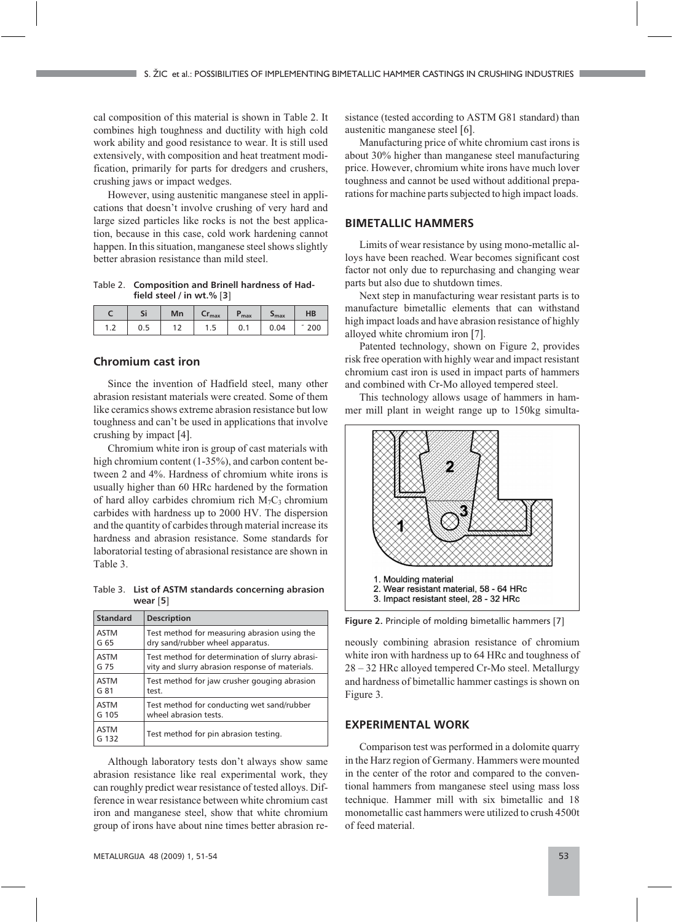cal composition of this material is shown in Table 2. It combines high toughness and ductility with high cold work ability and good resistance to wear. It is still used extensively, with composition and heat treatment modification, primarily for parts for dredgers and crushers, crushing jaws or impact wedges.

However, using austenitic manganese steel in applications that doesn't involve crushing of very hard and large sized particles like rocks is not the best application, because in this case, cold work hardening cannot happen. In this situation, manganese steel shows slightly better abrasion resistance than mild steel.

Table 2. **Composition and Brinell hardness of Hadfield steel / in wt.% 3-**

|                               | e:<br>Эı. | Mn | ∟l max | max | $\mathbf{a}_{\text{max}}$ | НB  |
|-------------------------------|-----------|----|--------|-----|---------------------------|-----|
| ∽<br>$\overline{\phantom{a}}$ | ∪.J       |    | ر .    | 0.1 |                           | ∠∪∪ |

# **Chromium cast iron**

Since the invention of Hadfield steel, many other abrasion resistant materials were created. Some of them like ceramics shows extreme abrasion resistance but low toughness and can't be used in applications that involve crushing by impact [4].

Chromium white iron is group of cast materials with high chromium content (1-35%), and carbon content between 2 and 4%. Hardness of chromium white irons is usually higher than 60 HRc hardened by the formation of hard alloy carbides chromium rich  $M_7C_3$  chromium carbides with hardness up to 2000 HV. The dispersion and the quantity of carbides through material increase its hardness and abrasion resistance. Some standards for laboratorial testing of abrasional resistance are shown in Table 3.

Table 3. **List of ASTM standards concerning abrasion wear 5-**

| <b>Standard</b>      | <b>Description</b>                              |
|----------------------|-------------------------------------------------|
| <b>ASTM</b>          | Test method for measuring abrasion using the    |
| G 65                 | dry sand/rubber wheel apparatus.                |
| <b>ASTM</b>          | Test method for determination of slurry abrasi- |
| G 75                 | vity and slurry abrasion response of materials. |
| <b>ASTM</b>          | Test method for jaw crusher gouging abrasion    |
| G 81                 | test.                                           |
| <b>ASTM</b>          | Test method for conducting wet sand/rubber      |
| G 105                | wheel abrasion tests.                           |
| <b>ASTM</b><br>G 132 | Test method for pin abrasion testing.           |

Although laboratory tests don't always show same abrasion resistance like real experimental work, they can roughly predict wear resistance of tested alloys. Difference in wear resistance between white chromium cast iron and manganese steel, show that white chromium group of irons have about nine times better abrasion resistance (tested according to ASTM G81 standard) than austenitic manganese steel [6].

Manufacturing price of white chromium cast irons is about 30% higher than manganese steel manufacturing price. However, chromium white irons have much lover toughness and cannot be used without additional preparations for machine parts subjected to high impact loads.

#### **BIMETALLIC HAMMERS BIMETALLIC HAMMERS**

Limits of wear resistance by using mono-metallic alloys have been reached. Wear becomes significant cost factor not only due to repurchasing and changing wear parts but also due to shutdown times.

Next step in manufacturing wear resistant parts is to manufacture bimetallic elements that can withstand high impact loads and have abrasion resistance of highly alloyed white chromium iron [7].

Patented technology, shown on Figure 2, provides risk free operation with highly wear and impact resistant chromium cast iron is used in impact parts of hammers and combined with Cr-Mo alloyed tempered steel.

This technology allows usage of hammers in hammer mill plant in weight range up to 150kg simulta-



**Figure 2.** Principle of molding bimetallic hammers [7]

neously combining abrasion resistance of chromium white iron with hardness up to 64 HRc and toughness of 28 – 32 HRc alloyed tempered Cr-Mo steel. Metallurgy and hardness of bimetallic hammer castings is shown on Figure 3.

### **EXPERIMENTAL WORK**

Comparison test was performed in a dolomite quarry in the Harz region of Germany. Hammers were mounted in the center of the rotor and compared to the conventional hammers from manganese steel using mass loss technique. Hammer mill with six bimetallic and 18 monometallic cast hammers were utilized to crush 4500t of feed material.